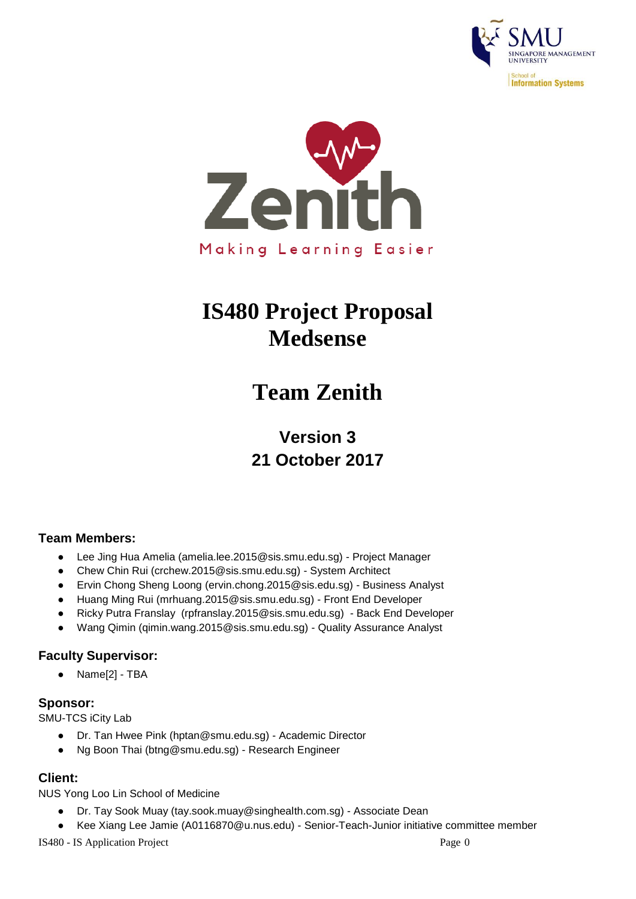



# **IS480 Project Proposal Medsense**

# **Team Zenith**

**Version 3 21 October 2017**

## **Team Members:**

- Lee Jing Hua Amelia (amelia.lee.2015@sis.smu.edu.sg) Project Manager
- Chew Chin Rui (crchew.2015@sis.smu.edu.sg) System Architect
- Ervin Chong Sheng Loong (ervin.chong.2015@sis.edu.sg) Business Analyst
- Huang Ming Rui (mrhuang.2015@sis.smu.edu.sg) Front End Developer
- Ricky Putra Franslay (rpfranslay.2015@sis.smu.edu.sg) Back End Developer
- Wang Qimin (qimin.wang.2015@sis.smu.edu.sg) Quality Assurance Analyst

#### **Faculty Supervisor:**

● Name[2] - TBA

#### **Sponsor:**

SMU-TCS iCity Lab

- Dr. Tan Hwee Pink (hptan@smu.edu.sg) Academic Director
- Ng Boon Thai (btng@smu.edu.sg) Research Engineer

## **Client:**

NUS Yong Loo Lin School of Medicine

- Dr. Tay Sook Muay (tay.sook.muay@singhealth.com.sg) Associate Dean
- Kee Xiang Lee Jamie (A0116870@u.nus.edu) Senior-Teach-Junior initiative committee member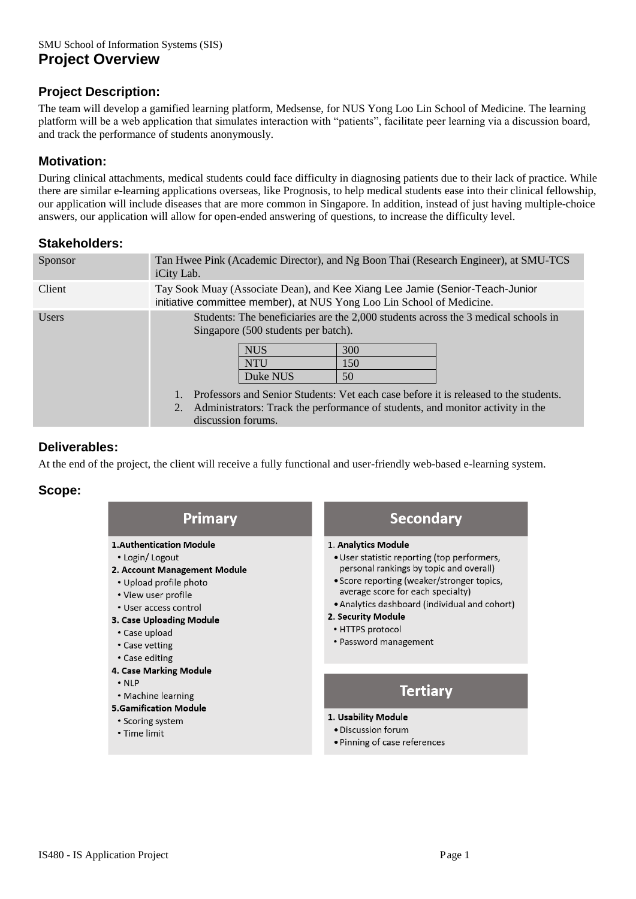### **Project Description:**

The team will develop a gamified learning platform, Medsense, for NUS Yong Loo Lin School of Medicine. The learning platform will be a web application that simulates interaction with "patients", facilitate peer learning via a discussion board, and track the performance of students anonymously.

### **Motivation:**

During clinical attachments, medical students could face difficulty in diagnosing patients due to their lack of practice. While there are similar e-learning applications overseas, like Prognosis, to help medical students ease into their clinical fellowship, our application will include diseases that are more common in Singapore. In addition, instead of just having multiple-choice answers, our application will allow for open-ended answering of questions, to increase the difficulty level.

#### **Stakeholders:**

| Sponsor      | Tan Hwee Pink (Academic Director), and Ng Boon Thai (Research Engineer), at SMU-TCS<br>iCity Lab.                                                     |                                                                             |                  |                                                                                                                                                                                                                                                              |
|--------------|-------------------------------------------------------------------------------------------------------------------------------------------------------|-----------------------------------------------------------------------------|------------------|--------------------------------------------------------------------------------------------------------------------------------------------------------------------------------------------------------------------------------------------------------------|
| Client       | Tay Sook Muay (Associate Dean), and Kee Xiang Lee Jamie (Senior-Teach-Junior<br>initiative committee member), at NUS Yong Loo Lin School of Medicine. |                                                                             |                  |                                                                                                                                                                                                                                                              |
| <b>Users</b> | 2.<br>discussion forums.                                                                                                                              | Singapore (500 students per batch).<br><b>NUS</b><br><b>NTU</b><br>Duke NUS | 300<br>150<br>50 | Students: The beneficiaries are the 2,000 students across the 3 medical schools in<br>Professors and Senior Students: Vet each case before it is released to the students.<br>Administrators: Track the performance of students, and monitor activity in the |

#### **Deliverables:**

At the end of the project, the client will receive a fully functional and user-friendly web-based e-learning system.

#### **Scope:**